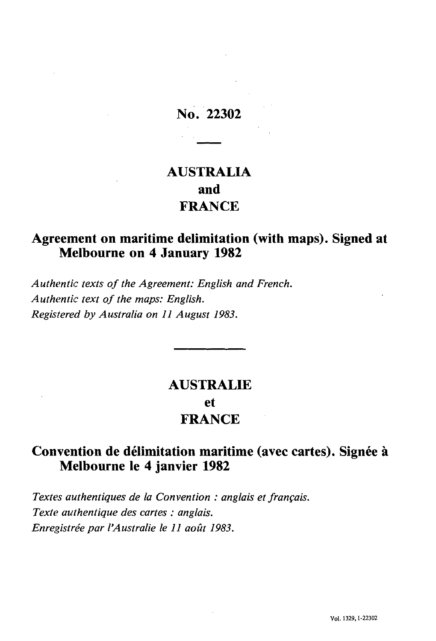## **No. 22302**

# **AUSTRALIA and FRANCE**

#### **Agreement on maritime delimitation (with maps). Signed at Melbourne on 4 January 1982**

*Authentic texts of the Agreement: English and French. Authentic text of the maps: English. Registered by Australia on 11 August 1983.*

# **AUSTRALIE et FRANCE**

### **Convention de délimitation maritime (avec cartes). Signée à Melbourne le 4 janvier 1982**

*Textes authentiques de la Convention : anglais et français. Texte authentique des cartes : anglais. Enregistrée par l'Australie le 11 août 1983.*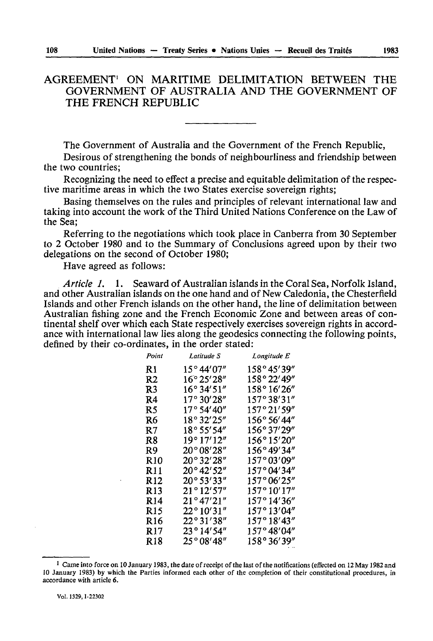#### AGREEMENT1 ON MARITIME DELIMITATION BETWEEN THE GOVERNMENT OF AUSTRALIA AND THE GOVERNMENT OF THE FRENCH REPUBLIC

The Government of Australia and the Government of the French Republic,

Desirous of strengthening the bonds of neighbourliness and friendship between the two countries;

Recognizing the need to effect a precise and equitable delimitation of the respec tive maritime areas in which the two States exercise sovereign rights;

Basing themselves on the rules and principles of relevant international law and taking into account the work of the Third United Nations Conference on the Law of the Sea;

Referring to the negotiations which took place in Canberra from 30 September to 2 October 1980 and to the Summary of Conclusions agreed upon by their two delegations on the second of October 1980;

Have agreed as follows:

*Article 1.* 1. Seaward of Australian islands in the Coral Sea, Norfolk Island, and other Australian islands on the one hand and of New Caledonia, the Chesterfield Islands and other French islands on the other hand, the line of delimitation between Australian fishing zone and the French Economic Zone and between areas of con tinental shelf over which each State respectively exercises sovereign rights in accord ance with international law lies along the geodesies connecting the following points, defined by their co-ordinates, in the order stated:

| Point           | Latitude S            | Longitude E          |
|-----------------|-----------------------|----------------------|
| R1              | 15° 44′07″            | 158°45′39″           |
| R2              | 16° 25′ 28″           | 158° 22′ 49″         |
| R3              | 16° 34′ 51″           | 158° 16′ 26″         |
| R <sub>4</sub>  | 17°30'28''            | 157°38'31"           |
| R5              | 17°54'40''            | 157°21'59"           |
| R6              | 18° 32′ 25″           | 156° 56' 44"         |
| R7              | 18° 55′ 54″           | 156°37′29″           |
| R8              | 19° 17′ 12″           | 156°15′20″           |
| R9              | 20° 08' 28"           | $156^{\circ}49'34''$ |
| <b>R10</b>      | 20°32'28"             | 157°03′09″           |
| R 11            | $20^{\circ}42'52''$   | 157°04′34″           |
| R <sub>12</sub> | $20^{\circ}53'33''$   | 157°06'25"           |
| R <sub>13</sub> | $21^{\circ}12'57''$   | 157° 10′ 17″         |
| R <sub>14</sub> | $21^{\circ}47'21''$   | 157°14'36''          |
| R15             | $22^{\circ} 10' 31''$ | 157°13'04"           |
| R16             | 22°31′38″             | 157°18'43''          |
| R <sub>17</sub> | 23°14′54″             | 157°48′04″           |
| <b>R18</b>      | 25° 08′ 48″           | 158°36'39"           |

<sup>&</sup>lt;sup>1</sup> Came into force on 10 January 1983, the date of receipt of the last of the notifications (effected on 12 May 1982 and 10 January 1983) by which the Parties informed each other of the completion of their constitutional procedures, in accordance with article 6.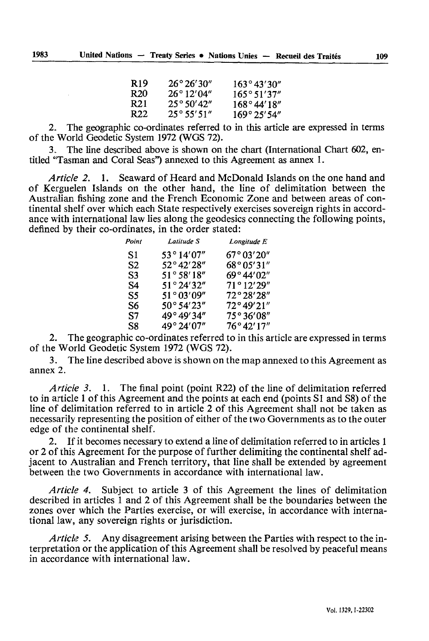| R 19 | $26^{\circ}26'30''$ | 163°43'30"             |
|------|---------------------|------------------------|
| R 20 | $26^{\circ}12'04''$ | 165°51'37"             |
| R21  | $25^{\circ}50'42''$ | $168^{\circ}44'18''$   |
| R 22 | $25^{\circ}55'51''$ | $169^{\circ} 25' 54''$ |

2. The geographic co-ordinates referred to in this article are expressed in terms of the World Geodetic System 1972 (WGS 72).

The line described above is shown on the chart (International Chart 602, entitled "Tasman and Coral Seas") annexed to this Agreement as annex 1.

*Article 2.* 1. Seaward of Heard and McDonald Islands on the one hand and of Kerguelen Islands on the other hand, the line of delimitation between the Australian fishing zone and the French Economic Zone and between areas of con tinental shelf over which each State respectively exercises sovereign rights in accord ance with international law lies along the geodesies connecting the following points, defined by their co-ordinates, in the order stated:

| Point | Latitude S          | Longitude E         |
|-------|---------------------|---------------------|
| S1    | $53^{\circ}14'07''$ | 67°03'20"           |
| S2    | 52°42'28"           | 68°05'31"           |
| S3    | $51^{\circ}58'18''$ | 69°44′02″           |
| S4    | 51°24'32"           | 71°12'29"           |
| S5    | 51 ° 03'09"         | 72°28′28″           |
| S6    | $50^{\circ}54'23''$ | 72°49′21″           |
| S7    | 49° 49' 34"         | 75°36′08″           |
| S8    | 49° 24′ 07″         | $76^{\circ}42'17''$ |

2. The geographic co-ordinates referred to in this article are expressed in terms of the World Geodetic System 1972 (WGS 72).

3. The line described above is shown on the map annexed to this Agreement as annex 2.

*Article 3.* 1. The final point (point R22) of the line of delimitation referred to in article 1 of this Agreement and the points at each end (points SI and S8) of the line of delimitation referred to in article 2 of this Agreement shall not be taken as necessarily representing the position of either of the two Governments as to the outer edge of the continental shelf.

2. If it becomes necessary to extend a line of delimitation referred to in articles 1 or 2 of this Agreement for the purpose of further delimiting the continental shelf ad jacent to Australian and French territory, that line shall be extended by agreement between the two Governments in accordance with international law.

*Article 4.* Subject to article 3 of this Agreement the lines of delimitation described in articles 1 and 2 of this Agreement shall be the boundaries between the zones over which the Parties exercise, or will exercise, in accordance with interna tional law, any sovereign rights or jurisdiction.

*Article 5.* Any disagreement arising between the Parties with respect to the interpretation or the application of this Agreement shall be resolved by peaceful means in accordance with international law.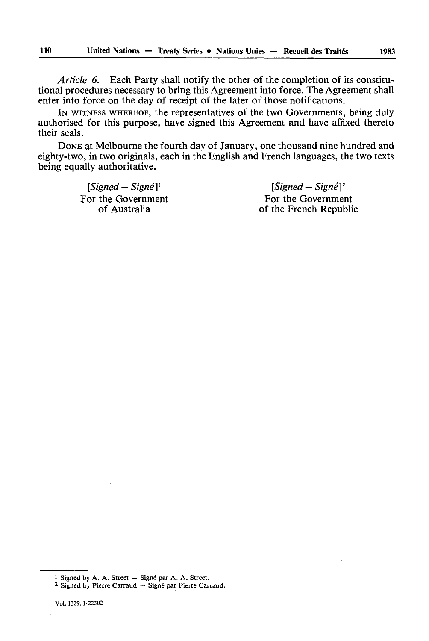*Article 6.* Each Party shall notify the other of the completion of its constitu tional procedures necessary to bring this Agreement into force. The Agreement shall enter into force on the day of receipt of the later of those notifications.

IN WITNESS WHEREOF, the representatives of the two Governments, being duly authorised for this purpose, have signed this Agreement and have affixed thereto their seals.

DONE at Melbourne the fourth day of January, one thousand nine hundred and eighty-two, in two originals, each in the English and French languages, the two texts being equally authoritative.

*[Signed - Signé]* ' *[Signed - Signé] <sup>2</sup>*

the Government<br>
of Australia<br>
of the French Republic of the French Republic

<sup>&</sup>lt;sup>1</sup> Signed by A. A. Street  $-$  Signé par A. A. Street.

<sup>2</sup> Signed by Pierre Carraud — Signé par Pierre Carraud.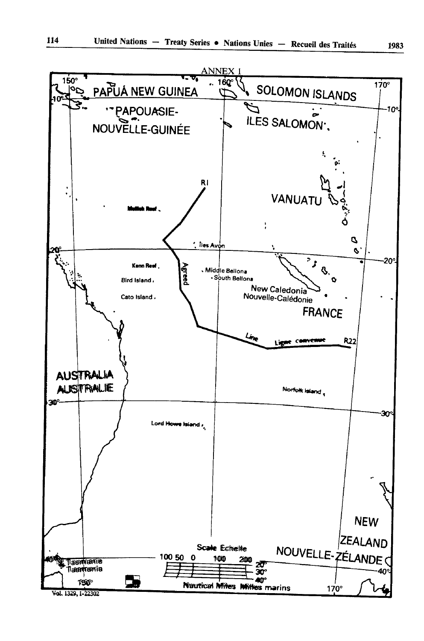

Val. 1329, I-22302